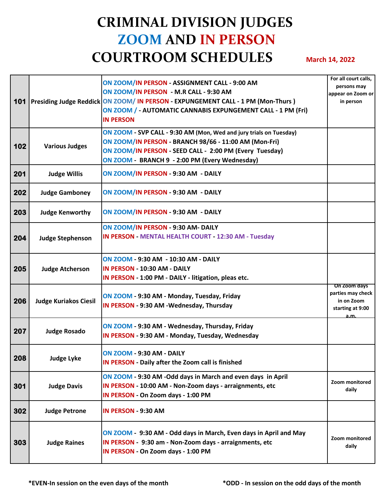## **CRIMINAL DIVISION JUDGES ZOOM AND IN PERSON COURTROOM SCHEDULES** March 14, 2022

|     |                              | ON ZOOM/IN PERSON - ASSIGNMENT CALL - 9:00 AM<br>ON ZOOM/IN PERSON - M.R CALL - 9:30 AM<br>101   Presiding Judge Reddick ON ZOOM/ IN PERSON - EXPUNGEMENT CALL - 1 PM (Mon-Thurs)<br>ON ZOOM / - AUTOMATIC CANNABIS EXPUNGEMENT CALL - 1 PM (Fri)<br><b>IN PERSON</b> | For all court calls,<br>persons may<br>appear on Zoom or<br>in person      |
|-----|------------------------------|-----------------------------------------------------------------------------------------------------------------------------------------------------------------------------------------------------------------------------------------------------------------------|----------------------------------------------------------------------------|
| 102 | <b>Various Judges</b>        | ON ZOOM - SVP CALL - 9:30 AM (Mon, Wed and jury trials on Tuesday)<br>ON ZOOM/IN PERSON - BRANCH 98/66 - 11:00 AM (Mon-Fri)<br>ON ZOOM/IN PERSON - SEED CALL - 2:00 PM (Every Tuesday)<br>ON ZOOM - BRANCH 9 - 2:00 PM (Every Wednesday)                              |                                                                            |
| 201 | <b>Judge Willis</b>          | ON ZOOM/IN PERSON - 9:30 AM - DAILY                                                                                                                                                                                                                                   |                                                                            |
| 202 | <b>Judge Gamboney</b>        | ON ZOOM/IN PERSON - 9:30 AM - DAILY                                                                                                                                                                                                                                   |                                                                            |
| 203 | <b>Judge Kenworthy</b>       | ON ZOOM/IN PERSON - 9:30 AM - DAILY                                                                                                                                                                                                                                   |                                                                            |
| 204 | <b>Judge Stephenson</b>      | ON ZOOM/IN PERSON - 9:30 AM- DAILY<br>IN PERSON - MENTAL HEALTH COURT - 12:30 AM - Tuesday                                                                                                                                                                            |                                                                            |
| 205 | <b>Judge Atcherson</b>       | <b>ON ZOOM - 9:30 AM - 10:30 AM - DAILY</b><br>IN PERSON - 10:30 AM - DAILY<br>IN PERSON - 1:00 PM - DAILY - litigation, pleas etc.                                                                                                                                   |                                                                            |
| 206 | <b>Judge Kuriakos Ciesil</b> | ON ZOOM - 9:30 AM - Monday, Tuesday, Friday<br>IN PERSON - 9:30 AM - Wednesday, Thursday                                                                                                                                                                              | On Zoom days<br>parties may check<br>in on Zoom<br>starting at 9:00<br>a.m |
| 207 | <b>Judge Rosado</b>          | ON ZOOM - 9:30 AM - Wednesday, Thursday, Friday<br>IN PERSON - 9:30 AM - Monday, Tuesday, Wednesday                                                                                                                                                                   |                                                                            |
| 208 | Judge Lyke                   | <b>ON ZOOM - 9:30 AM - DAILY</b><br>IN PERSON - Daily after the Zoom call is finished                                                                                                                                                                                 |                                                                            |
| 301 | <b>Judge Davis</b>           | ON ZOOM - 9:30 AM - Odd days in March and even days in April<br>IN PERSON - 10:00 AM - Non-Zoom days - arraignments, etc<br>IN PERSON - On Zoom days - 1:00 PM                                                                                                        | Zoom monitored<br>daily                                                    |
| 302 | <b>Judge Petrone</b>         | IN PERSON - 9:30 AM                                                                                                                                                                                                                                                   |                                                                            |
| 303 | <b>Judge Raines</b>          | ON ZOOM - 9:30 AM - Odd days in March, Even days in April and May<br>IN PERSON - 9:30 am - Non-Zoom days - arraignments, etc<br>IN PERSON - On Zoom days - 1:00 PM                                                                                                    | Zoom monitored<br>daily                                                    |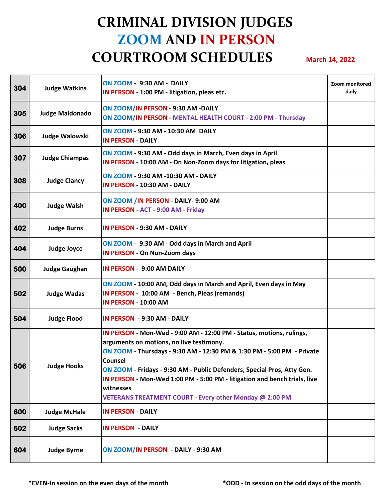## **CRIMINAL DIVISION JUDGES ZOOM AND IN PERSON COURTROOM SCHEDULES** March 14, 2022

| 304 | <b>Judge Watkins</b>   | <b>ON ZOOM - 9:30 AM - DAILY</b><br>IN PERSON - 1:00 PM - litigation, pleas etc.                                                                                                                                                                                                                                                                                                                                                      | Zoom monitored<br>daily |
|-----|------------------------|---------------------------------------------------------------------------------------------------------------------------------------------------------------------------------------------------------------------------------------------------------------------------------------------------------------------------------------------------------------------------------------------------------------------------------------|-------------------------|
| 305 | <b>Judge Maldonado</b> | ON ZOOM/IN PERSON - 9:30 AM -DAILY<br>ON ZOOM/IN PERSON - MENTAL HEALTH COURT - 2:00 PM - Thursday                                                                                                                                                                                                                                                                                                                                    |                         |
| 306 | <b>Judge Walowski</b>  | ON ZOOM - 9:30 AM - 10:30 AM DAILY<br><b>IN PERSON - DAILY</b>                                                                                                                                                                                                                                                                                                                                                                        |                         |
| 307 | <b>Judge Chiampas</b>  | ON ZOOM - 9:30 AM - Odd days in March, Even days in April<br>IN PERSON - 10:00 AM - On Non-Zoom days for litigation, pleas                                                                                                                                                                                                                                                                                                            |                         |
| 308 | <b>Judge Clancy</b>    | <b>ON ZOOM - 9:30 AM -10:30 AM - DAILY</b><br>IN PERSON - 10:30 AM - DAILY                                                                                                                                                                                                                                                                                                                                                            |                         |
| 400 | <b>Judge Walsh</b>     | ON ZOOM / IN PERSON - DAILY- 9:00 AM<br>IN PERSON - ACT - 9:00 AM - Friday                                                                                                                                                                                                                                                                                                                                                            |                         |
| 402 | <b>Judge Burns</b>     | <b>IN PERSON - 9:30 AM - DAILY</b>                                                                                                                                                                                                                                                                                                                                                                                                    |                         |
| 404 | <b>Judge Joyce</b>     | ON ZOOM - 9:30 AM - Odd days in March and April<br><b>IN PERSON - On Non-Zoom days</b>                                                                                                                                                                                                                                                                                                                                                |                         |
| 500 | <b>Judge Gaughan</b>   | <b>IN PERSON - 9:00 AM DAILY</b>                                                                                                                                                                                                                                                                                                                                                                                                      |                         |
| 502 | <b>Judge Wadas</b>     | ON ZOOM - 10:00 AM, Odd days in March and April, Even days in May<br>IN PERSON - 10:00 AM - Bench, Pleas (remands)<br><b>IN PERSON - 10:00 AM</b>                                                                                                                                                                                                                                                                                     |                         |
| 504 | <b>Judge Flood</b>     | IN PERSON - 9:30 AM - DAILY                                                                                                                                                                                                                                                                                                                                                                                                           |                         |
| 506 | <b>Judge Hooks</b>     | IN PERSON - Mon-Wed - 9:00 AM - 12:00 PM - Status, motions, rulings,<br>arguments on motions, no live testimony.<br>ON ZOOM - Thursdays - 9:30 AM - 12:30 PM & 1:30 PM - 5:00 PM - Private<br>Counsel<br>ON ZOOM - Fridays - 9:30 AM - Public Defenders, Special Pros, Atty Gen.<br>IN PERSON - Mon-Wed 1:00 PM - 5:00 PM - litigation and bench trials, live<br>witnesses<br>VETERANS TREATMENT COURT - Every other Monday @ 2:00 PM |                         |
| 600 | <b>Judge McHale</b>    | <b>IN PERSON - DAILY</b>                                                                                                                                                                                                                                                                                                                                                                                                              |                         |
| 602 | <b>Judge Sacks</b>     | <b>IN PERSON - DAILY</b>                                                                                                                                                                                                                                                                                                                                                                                                              |                         |
| 604 | <b>Judge Byrne</b>     | ON ZOOM/IN PERSON - DAILY - 9:30 AM                                                                                                                                                                                                                                                                                                                                                                                                   |                         |